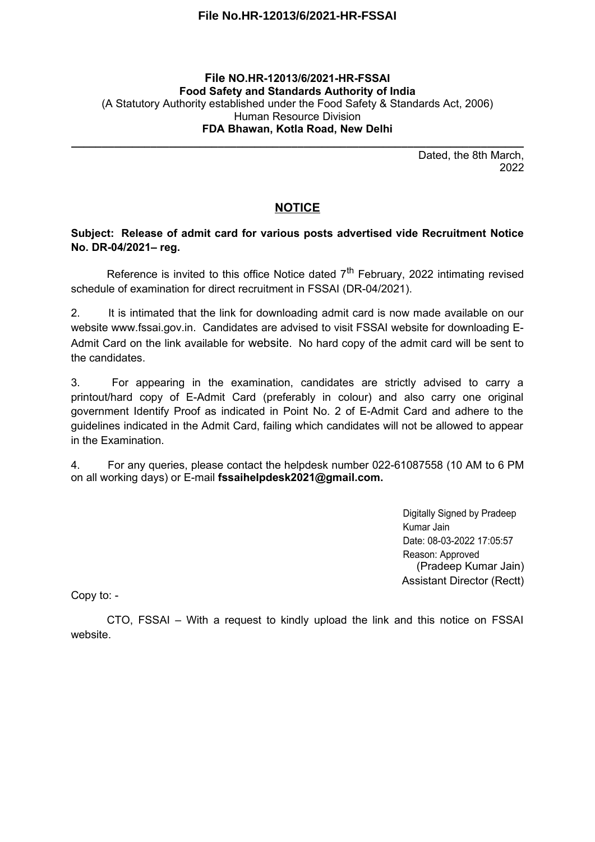## **File No.HR-12013/6/2021-HR-FSSAI**

## **File NO.HR-12013/6/2021-HR-FSSAI Food Safety and Standards Authority of India** (A Statutory Authority established under the Food Safety & Standards Act, 2006) Human Resource Division **FDA Bhawan, Kotla Road, New Delhi**

**\_\_\_\_\_\_\_\_\_\_\_\_\_\_\_\_\_\_\_\_\_\_\_\_\_\_\_\_\_\_\_\_\_\_\_\_\_\_\_\_\_\_\_\_\_\_\_\_\_\_\_\_\_\_\_\_\_\_\_\_\_\_\_\_\_\_\_\_\_\_\_\_\_\_**

Dated, the 8th March, 2022

## **NOTICE**

## **Subject: Release of admit card for various posts advertised vide Recruitment Notice No. DR-04/2021– reg.**

Reference is invited to this office Notice dated  $7<sup>th</sup>$  February, 2022 intimating revised schedule of examination for direct recruitment in FSSAI (DR-04/2021).

2. It is intimated that the link for downloading admit card is now made available on our website www.fssai.gov.in. Candidates are advised to visit FSSAI website for downloading E-Admit Card on the link available for website. No hard copy of the admit card will be sent to the candidates.

3. For appearing in the examination, candidates are strictly advised to carry a printout/hard copy of E-Admit Card (preferably in colour) and also carry one original government Identify Proof as indicated in Point No. 2 of E-Admit Card and adhere to the guidelines indicated in the Admit Card, failing which candidates will not be allowed to appear in the Examination.

4. For any queries, please contact the helpdesk number 022-61087558 (10 AM to 6 PM on all working days) or E-mail **fssaihelpdesk2021@gmail.com.**

> Digitally Signed by Pradeep Kumar Jain Date: 08-03-2022 17:05:57 Reason: Approved (Pradeep Kumar Jain) Assistant Director (Rectt)

Copy to: -

CTO, FSSAI – With a request to kindly upload the link and this notice on FSSAI website.